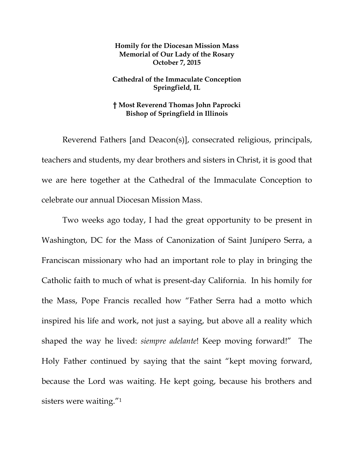## **Homily for the Diocesan Mission Mass Memorial of Our Lady of the Rosary October 7, 2015**

## **Cathedral of the Immaculate Conception Springfield, IL**

## **† Most Reverend Thomas John Paprocki Bishop of Springfield in Illinois**

 Reverend Fathers [and Deacon(s)], consecrated religious, principals, teachers and students, my dear brothers and sisters in Christ, it is good that we are here together at the Cathedral of the Immaculate Conception to celebrate our annual Diocesan Mission Mass.

 Two weeks ago today, I had the great opportunity to be present in Washington, DC for the Mass of Canonization of Saint Junípero Serra, a Franciscan missionary who had an important role to play in bringing the Catholic faith to much of what is present-day California. In his homily for the Mass, Pope Francis recalled how "Father Serra had a motto which inspired his life and work, not just a saying, but above all a reality which shaped the way he lived: *siempre adelante*! Keep moving forward!" The Holy Father continued by saying that the saint "kept moving forward, because the Lord was waiting. He kept going, because his brothers and sisters were waiting."1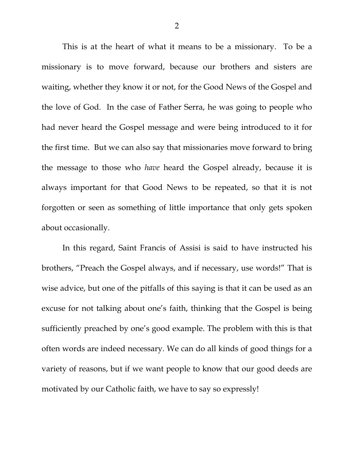This is at the heart of what it means to be a missionary. To be a missionary is to move forward, because our brothers and sisters are waiting, whether they know it or not, for the Good News of the Gospel and the love of God. In the case of Father Serra, he was going to people who had never heard the Gospel message and were being introduced to it for the first time. But we can also say that missionaries move forward to bring the message to those who *have* heard the Gospel already, because it is always important for that Good News to be repeated, so that it is not forgotten or seen as something of little importance that only gets spoken about occasionally.

In this regard, Saint Francis of Assisi is said to have instructed his brothers, "Preach the Gospel always, and if necessary, use words!" That is wise advice, but one of the pitfalls of this saying is that it can be used as an excuse for not talking about one's faith, thinking that the Gospel is being sufficiently preached by one's good example. The problem with this is that often words are indeed necessary. We can do all kinds of good things for a variety of reasons, but if we want people to know that our good deeds are motivated by our Catholic faith, we have to say so expressly!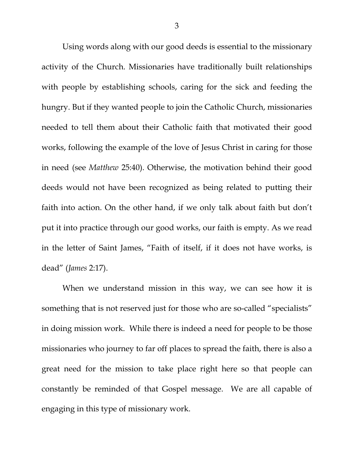Using words along with our good deeds is essential to the missionary activity of the Church. Missionaries have traditionally built relationships with people by establishing schools, caring for the sick and feeding the hungry. But if they wanted people to join the Catholic Church, missionaries needed to tell them about their Catholic faith that motivated their good works, following the example of the love of Jesus Christ in caring for those in need (see *Matthew* 25:40). Otherwise, the motivation behind their good deeds would not have been recognized as being related to putting their faith into action. On the other hand, if we only talk about faith but don't put it into practice through our good works, our faith is empty. As we read in the letter of Saint James, "Faith of itself, if it does not have works, is dead" (*James* 2:17).

When we understand mission in this way, we can see how it is something that is not reserved just for those who are so-called "specialists" in doing mission work. While there is indeed a need for people to be those missionaries who journey to far off places to spread the faith, there is also a great need for the mission to take place right here so that people can constantly be reminded of that Gospel message. We are all capable of engaging in this type of missionary work.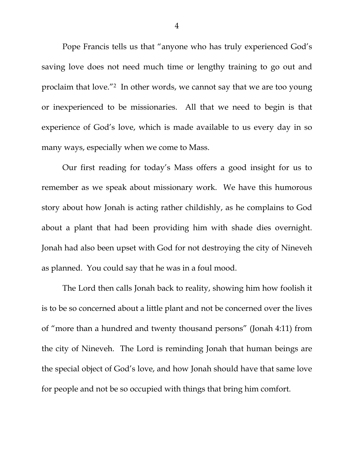Pope Francis tells us that "anyone who has truly experienced God's saving love does not need much time or lengthy training to go out and proclaim that love."2 In other words, we cannot say that we are too young or inexperienced to be missionaries. All that we need to begin is that experience of God's love, which is made available to us every day in so many ways, especially when we come to Mass.

 Our first reading for today's Mass offers a good insight for us to remember as we speak about missionary work. We have this humorous story about how Jonah is acting rather childishly, as he complains to God about a plant that had been providing him with shade dies overnight. Jonah had also been upset with God for not destroying the city of Nineveh as planned. You could say that he was in a foul mood.

 The Lord then calls Jonah back to reality, showing him how foolish it is to be so concerned about a little plant and not be concerned over the lives of "more than a hundred and twenty thousand persons" (Jonah 4:11) from the city of Nineveh. The Lord is reminding Jonah that human beings are the special object of God's love, and how Jonah should have that same love for people and not be so occupied with things that bring him comfort.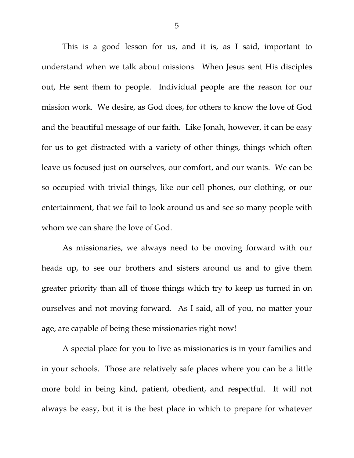This is a good lesson for us, and it is, as I said, important to understand when we talk about missions. When Jesus sent His disciples out, He sent them to people. Individual people are the reason for our mission work. We desire, as God does, for others to know the love of God and the beautiful message of our faith. Like Jonah, however, it can be easy for us to get distracted with a variety of other things, things which often leave us focused just on ourselves, our comfort, and our wants. We can be so occupied with trivial things, like our cell phones, our clothing, or our entertainment, that we fail to look around us and see so many people with whom we can share the love of God.

 As missionaries, we always need to be moving forward with our heads up, to see our brothers and sisters around us and to give them greater priority than all of those things which try to keep us turned in on ourselves and not moving forward. As I said, all of you, no matter your age, are capable of being these missionaries right now!

 A special place for you to live as missionaries is in your families and in your schools. Those are relatively safe places where you can be a little more bold in being kind, patient, obedient, and respectful. It will not always be easy, but it is the best place in which to prepare for whatever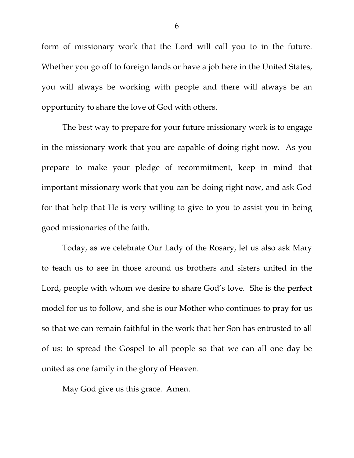form of missionary work that the Lord will call you to in the future. Whether you go off to foreign lands or have a job here in the United States, you will always be working with people and there will always be an opportunity to share the love of God with others.

The best way to prepare for your future missionary work is to engage in the missionary work that you are capable of doing right now. As you prepare to make your pledge of recommitment, keep in mind that important missionary work that you can be doing right now, and ask God for that help that He is very willing to give to you to assist you in being good missionaries of the faith.

Today, as we celebrate Our Lady of the Rosary, let us also ask Mary to teach us to see in those around us brothers and sisters united in the Lord, people with whom we desire to share God's love. She is the perfect model for us to follow, and she is our Mother who continues to pray for us so that we can remain faithful in the work that her Son has entrusted to all of us: to spread the Gospel to all people so that we can all one day be united as one family in the glory of Heaven.

May God give us this grace. Amen.

6